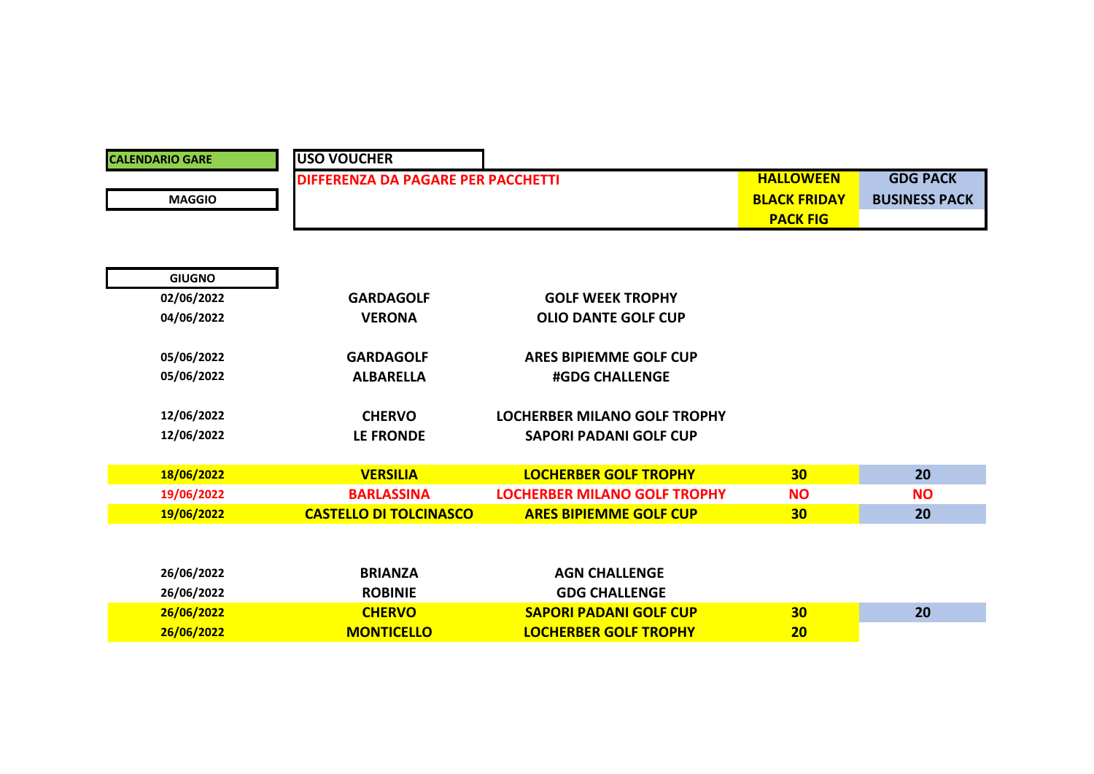| <b>CALENDARIO GARE</b> | <b>USO VOUCHER</b>                 |                                     |                     |                      |
|------------------------|------------------------------------|-------------------------------------|---------------------|----------------------|
|                        | DIFFERENZA DA PAGARE PER PACCHETTI |                                     | <b>HALLOWEEN</b>    | <b>GDG PACK</b>      |
| <b>MAGGIO</b>          |                                    |                                     | <b>BLACK FRIDAY</b> | <b>BUSINESS PACK</b> |
|                        |                                    |                                     | <b>PACK FIG</b>     |                      |
|                        |                                    |                                     |                     |                      |
|                        |                                    |                                     |                     |                      |
| <b>GIUGNO</b>          |                                    |                                     |                     |                      |
| 02/06/2022             | <b>GARDAGOLF</b>                   | <b>GOLF WEEK TROPHY</b>             |                     |                      |
| 04/06/2022             | <b>VERONA</b>                      | <b>OLIO DANTE GOLF CUP</b>          |                     |                      |
|                        |                                    |                                     |                     |                      |
| 05/06/2022             | <b>GARDAGOLF</b>                   | <b>ARES BIPIEMME GOLF CUP</b>       |                     |                      |
| 05/06/2022             | <b>ALBARELLA</b>                   | <b>#GDG CHALLENGE</b>               |                     |                      |
| 12/06/2022             | <b>CHERVO</b>                      | <b>LOCHERBER MILANO GOLF TROPHY</b> |                     |                      |
|                        |                                    | <b>SAPORI PADANI GOLF CUP</b>       |                     |                      |
| 12/06/2022             | LE FRONDE                          |                                     |                     |                      |
| 18/06/2022             | <b>VERSILIA</b>                    | <b>LOCHERBER GOLF TROPHY</b>        | 30                  | 20                   |
| 19/06/2022             | <b>BARLASSINA</b>                  | <b>LOCHERBER MILANO GOLF TROPHY</b> | <b>NO</b>           | <b>NO</b>            |
| 19/06/2022             | <b>CASTELLO DI TOLCINASCO</b>      | <b>ARES BIPIEMME GOLF CUP</b>       | 30                  | 20                   |
|                        |                                    |                                     |                     |                      |
|                        |                                    |                                     |                     |                      |
| 26/06/2022             | <b>BRIANZA</b>                     | <b>AGN CHALLENGE</b>                |                     |                      |
| 26/06/2022             | <b>ROBINIE</b>                     | <b>GDG CHALLENGE</b>                |                     |                      |
| 26/06/2022             | <b>CHERVO</b>                      | <b>SAPORI PADANI GOLF CUP</b>       | 30                  | 20                   |
| 26/06/2022             | <b>MONTICELLO</b>                  | <b>LOCHERBER GOLF TROPHY</b>        | 20                  |                      |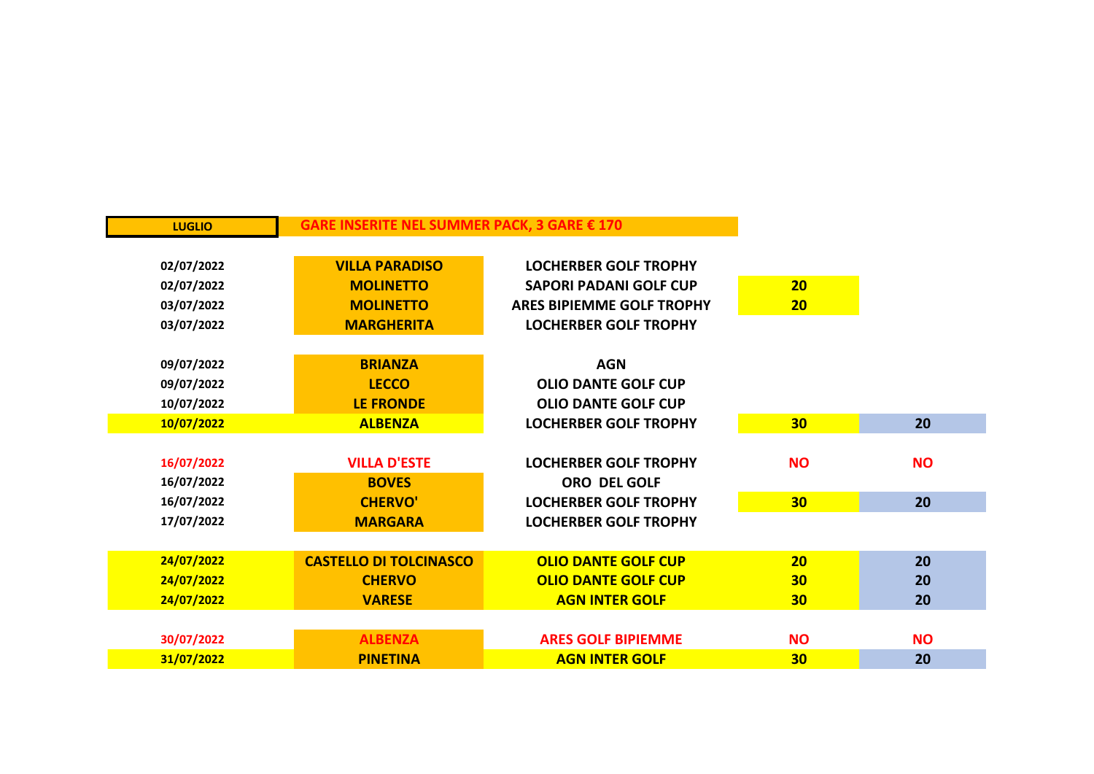| <b>LUGLIO</b> | GARE INSERITE NEL SUMMER PACK, 3 GARE € 170 |                                  |                 |           |
|---------------|---------------------------------------------|----------------------------------|-----------------|-----------|
|               |                                             |                                  |                 |           |
| 02/07/2022    | <b>VILLA PARADISO</b>                       | <b>LOCHERBER GOLF TROPHY</b>     |                 |           |
| 02/07/2022    | <b>MOLINETTO</b>                            | <b>SAPORI PADANI GOLF CUP</b>    | 20              |           |
| 03/07/2022    | <b>MOLINETTO</b>                            | <b>ARES BIPIEMME GOLF TROPHY</b> | 20              |           |
| 03/07/2022    | <b>MARGHERITA</b>                           | <b>LOCHERBER GOLF TROPHY</b>     |                 |           |
|               |                                             |                                  |                 |           |
| 09/07/2022    | <b>BRIANZA</b>                              | <b>AGN</b>                       |                 |           |
| 09/07/2022    | <b>LECCO</b>                                | <b>OLIO DANTE GOLF CUP</b>       |                 |           |
| 10/07/2022    | <b>LE FRONDE</b>                            | <b>OLIO DANTE GOLF CUP</b>       |                 |           |
| 10/07/2022    | <b>ALBENZA</b>                              | <b>LOCHERBER GOLF TROPHY</b>     | 30 <sub>2</sub> | 20        |
|               |                                             |                                  |                 |           |
| 16/07/2022    | <b>VILLA D'ESTE</b>                         | <b>LOCHERBER GOLF TROPHY</b>     | <b>NO</b>       | <b>NO</b> |
| 16/07/2022    | <b>BOVES</b>                                | ORO DEL GOLF                     |                 |           |
| 16/07/2022    | <b>CHERVO'</b>                              | <b>LOCHERBER GOLF TROPHY</b>     | 30 <sub>2</sub> | 20        |
| 17/07/2022    | <b>MARGARA</b>                              | <b>LOCHERBER GOLF TROPHY</b>     |                 |           |
|               |                                             |                                  |                 |           |
| 24/07/2022    | <b>CASTELLO DI TOLCINASCO</b>               | <b>OLIO DANTE GOLF CUP</b>       | 20              | 20        |
| 24/07/2022    | <b>CHERVO</b>                               | <b>OLIO DANTE GOLF CUP</b>       | 30 <sub>2</sub> | 20        |
| 24/07/2022    | <b>VARESE</b>                               | <b>AGN INTER GOLF</b>            | 30 <sub>2</sub> | 20        |
|               |                                             |                                  |                 |           |
| 30/07/2022    | <b>ALBENZA</b>                              | <b>ARES GOLF BIPIEMME</b>        | <b>NO</b>       | <b>NO</b> |
| 31/07/2022    | <b>PINETINA</b>                             | <b>AGN INTER GOLF</b>            | 30              | 20        |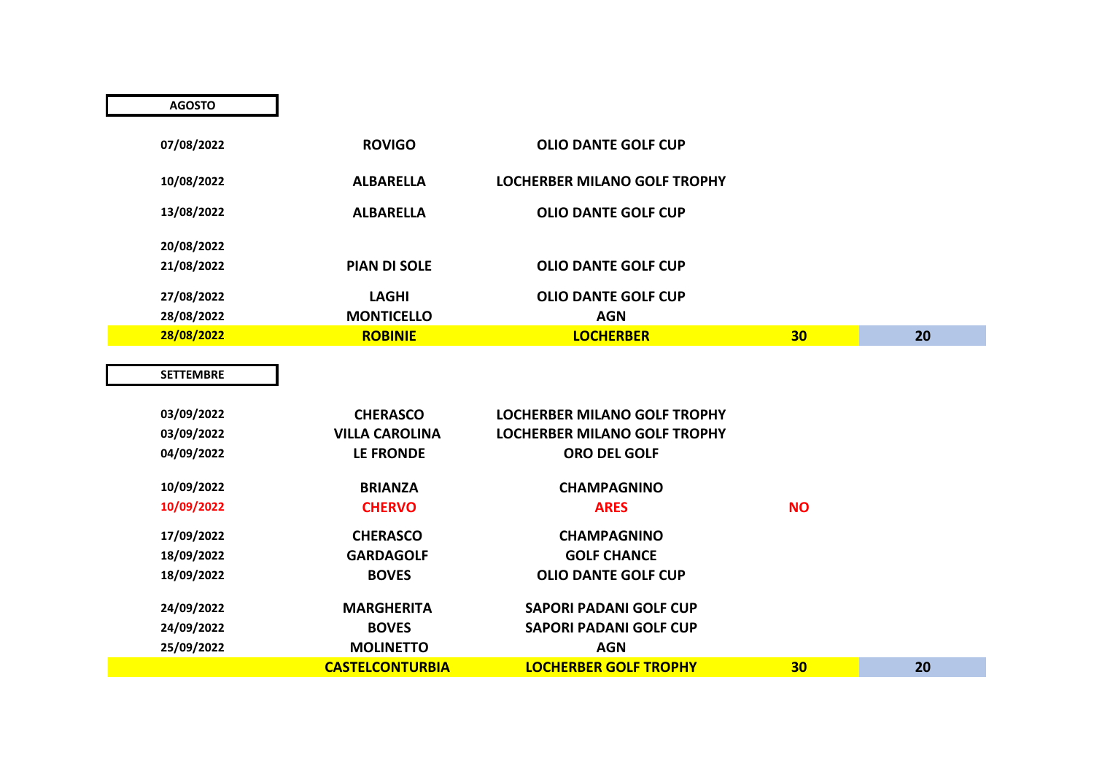| 03/09/2022 | <b>CHERASCO</b>        | LOCHERBER MILANO GOLF TROPHY |           |    |
|------------|------------------------|------------------------------|-----------|----|
| 03/09/2022 | <b>VILLA CAROLINA</b>  | LOCHERBER MILANO GOLF TROPHY |           |    |
| 04/09/2022 | LE FRONDE              | <b>ORO DEL GOLF</b>          |           |    |
| 10/09/2022 | <b>BRIANZA</b>         | <b>CHAMPAGNINO</b>           |           |    |
| 10/09/2022 | <b>CHERVO</b>          | <b>ARES</b>                  | <b>NO</b> |    |
| 17/09/2022 | <b>CHERASCO</b>        | <b>CHAMPAGNINO</b>           |           |    |
| 18/09/2022 | <b>GARDAGOLF</b>       | <b>GOLF CHANCE</b>           |           |    |
| 18/09/2022 | <b>BOVES</b>           | <b>OLIO DANTE GOLF CUP</b>   |           |    |
| 24/09/2022 | <b>MARGHERITA</b>      | SAPORI PADANI GOLF CUP       |           |    |
| 24/09/2022 | <b>BOVES</b>           | SAPORI PADANI GOLF CUP       |           |    |
| 25/09/2022 | <b>MOLINETTO</b>       | <b>AGN</b>                   |           |    |
|            | <b>CASTELCONTURBIA</b> | <b>LOCHERBER GOLF TROPHY</b> | 30        | 20 |

| <b>AGOSTO</b> |                     |                                     |                 |    |
|---------------|---------------------|-------------------------------------|-----------------|----|
| 07/08/2022    | <b>ROVIGO</b>       | <b>OLIO DANTE GOLF CUP</b>          |                 |    |
| 10/08/2022    | <b>ALBARELLA</b>    | <b>LOCHERBER MILANO GOLF TROPHY</b> |                 |    |
| 13/08/2022    | <b>ALBARELLA</b>    | <b>OLIO DANTE GOLF CUP</b>          |                 |    |
| 20/08/2022    |                     |                                     |                 |    |
| 21/08/2022    | <b>PIAN DI SOLE</b> | <b>OLIO DANTE GOLF CUP</b>          |                 |    |
| 27/08/2022    | <b>LAGHI</b>        | <b>OLIO DANTE GOLF CUP</b>          |                 |    |
| 28/08/2022    | <b>MONTICELLO</b>   | <b>AGN</b>                          |                 |    |
| 28/08/2022    | <b>ROBINIE</b>      | <b>LOCHERBER</b>                    | 30 <sub>2</sub> | 20 |
|               |                     |                                     |                 |    |

**SETTEMBRE**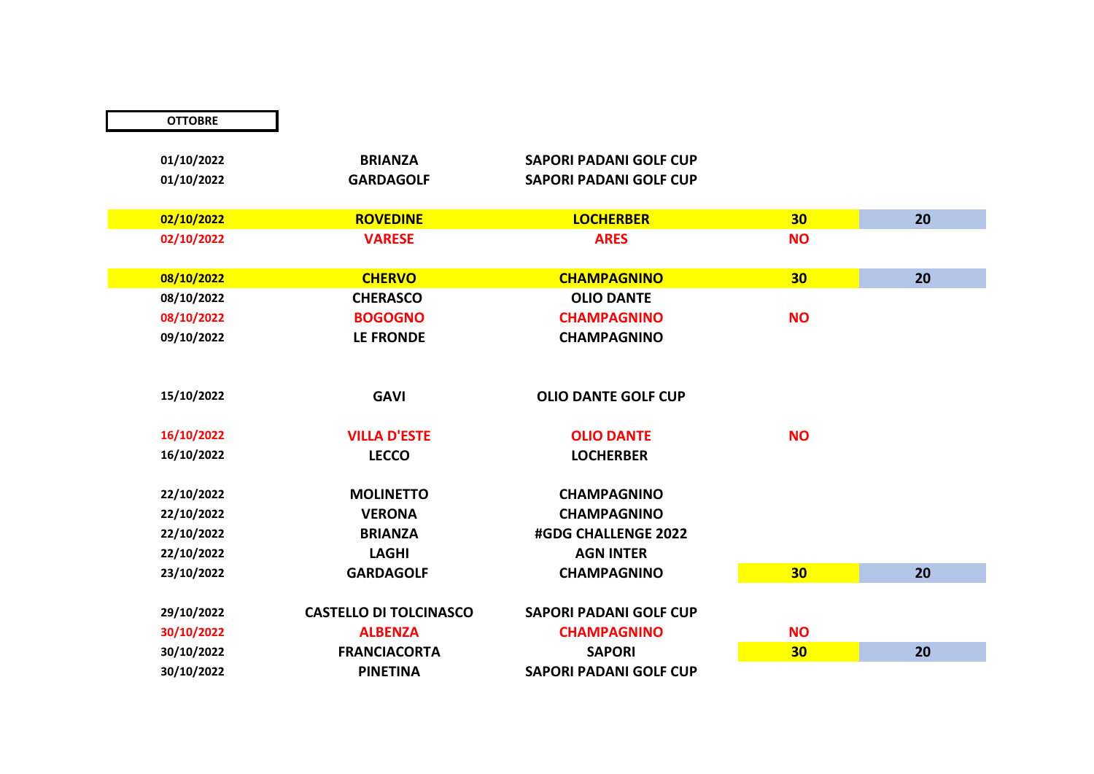| <b>OTTOBRE</b> |                               |                               |           |    |
|----------------|-------------------------------|-------------------------------|-----------|----|
|                |                               |                               |           |    |
| 01/10/2022     | <b>BRIANZA</b>                | <b>SAPORI PADANI GOLF CUP</b> |           |    |
| 01/10/2022     | <b>GARDAGOLF</b>              | <b>SAPORI PADANI GOLF CUP</b> |           |    |
|                |                               |                               |           |    |
| 02/10/2022     | <b>ROVEDINE</b>               | <b>LOCHERBER</b>              | 30        | 20 |
| 02/10/2022     | <b>VARESE</b>                 | <b>ARES</b>                   | <b>NO</b> |    |
|                |                               |                               |           |    |
| 08/10/2022     | <b>CHERVO</b>                 | <b>CHAMPAGNINO</b>            | 30        | 20 |
| 08/10/2022     | <b>CHERASCO</b>               | <b>OLIO DANTE</b>             |           |    |
| 08/10/2022     | <b>BOGOGNO</b>                | <b>CHAMPAGNINO</b>            | <b>NO</b> |    |
| 09/10/2022     | <b>LE FRONDE</b>              | <b>CHAMPAGNINO</b>            |           |    |
|                |                               |                               |           |    |
|                |                               |                               |           |    |
| 15/10/2022     | <b>GAVI</b>                   | <b>OLIO DANTE GOLF CUP</b>    |           |    |
|                |                               |                               |           |    |
| 16/10/2022     | <b>VILLA D'ESTE</b>           | <b>OLIO DANTE</b>             | <b>NO</b> |    |
| 16/10/2022     | <b>LECCO</b>                  | <b>LOCHERBER</b>              |           |    |
|                |                               |                               |           |    |
| 22/10/2022     | <b>MOLINETTO</b>              | <b>CHAMPAGNINO</b>            |           |    |
| 22/10/2022     | <b>VERONA</b>                 | <b>CHAMPAGNINO</b>            |           |    |
| 22/10/2022     | <b>BRIANZA</b>                | #GDG CHALLENGE 2022           |           |    |
| 22/10/2022     | <b>LAGHI</b>                  | <b>AGN INTER</b>              |           |    |
| 23/10/2022     | <b>GARDAGOLF</b>              | <b>CHAMPAGNINO</b>            | 30        | 20 |
|                |                               |                               |           |    |
| 29/10/2022     | <b>CASTELLO DI TOLCINASCO</b> | <b>SAPORI PADANI GOLF CUP</b> |           |    |
| 30/10/2022     | <b>ALBENZA</b>                | <b>CHAMPAGNINO</b>            | <b>NO</b> |    |
| 30/10/2022     | <b>FRANCIACORTA</b>           | <b>SAPORI</b>                 | 30        | 20 |
| 30/10/2022     | <b>PINETINA</b>               | <b>SAPORI PADANI GOLF CUP</b> |           |    |